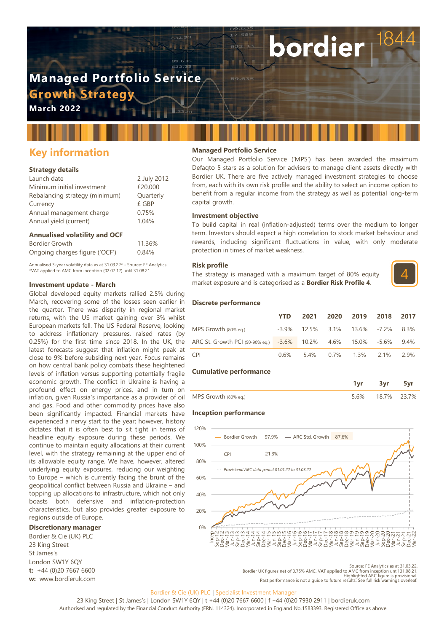# **Managed Portfolio Service Growth Strateg**

**March 2022**

## **Key information**

## **Strategy details**

| Launch date                    | 2 July 2012 |
|--------------------------------|-------------|
| Minimum initial investment     | £20,000     |
| Rebalancing strategy (minimum) | Quarterly   |
| Currency                       | £ GBP       |
| Annual management charge       | 0.75%       |
| Annual yield (current)         | 1.04%       |
|                                |             |

## **Annualised volatility and OCF**

| Bordier Growth                 | 11.36% |
|--------------------------------|--------|
| Ongoing charges figure ('OCF') | 0.84%  |

Annualised 3-year volatility data as at 31.03.22\* - Source: FE Analytics \*VAT applied to AMC from inception (02.07.12) until 31.08.21

### **Investment update - March**

Global developed equity markets rallied 2.5% during March, recovering some of the losses seen earlier in the quarter. There was disparity in regional market returns, with the US market gaining over 3% whilst European markets fell. The US Federal Reserve, looking to address inflationary pressures, raised rates (by 0.25%) for the first time since 2018. In the UK, the latest forecasts suggest that inflation might peak at close to 9% before subsiding next year. Focus remains on how central bank policy combats these heightened levels of inflation versus supporting potentially fragile economic growth. The conflict in Ukraine is having a profound effect on energy prices, and in turn on inflation, given Russia's importance as a provider of oil and gas. Food and other commodity prices have also been significantly impacted. Financial markets have experienced a nervy start to the year; however, history dictates that it is often best to sit tight in terms of headline equity exposure during these periods. We continue to maintain equity allocations at their current level, with the strategy remaining at the upper end of its allowable equity range. We have, however, altered underlying equity exposures, reducing our weighting to Europe – which is currently facing the brunt of the geopolitical conflict between Russia and Ukraine – and topping up allocations to infrastructure, which not only boasts both defensive and inflation-protection characteristics, but also provides greater exposure to regions outside of Europe.

### **Discretionary manager**

Bordier & Cie (UK) PLC 23 King Street St James's London SW1Y 6QY **t:** +44 (0)20 7667 6600 **w:** www.bordieruk.com

## **Managed Portfolio Service**

Our Managed Portfolio Service ('MPS') has been awarded the maximum Defaqto 5 stars as a solution for advisers to manage client assets directly with Bordier UK. There are five actively managed investment strategies to choose from, each with its own risk profile and the ability to select an income option to benefit from a regular income from the strategy as well as potential long-term capital growth.

bordier

#### **Investment objective**

To build capital in real (inflation-adjusted) terms over the medium to longer term. Investors should expect a high correlation to stock market behaviour and rewards, including significant fluctuations in value, with only moderate protection in times of market weakness.

#### **Risk profile**

The strategy is managed with a maximum target of 80% equity market exposure and is categorised as a **Bordier Risk Profile 4**.



#### **Discrete performance**

|                                                                   | <b>YTD</b> |  | 2021 2020 2019 2018                  | 2017 |
|-------------------------------------------------------------------|------------|--|--------------------------------------|------|
| MPS Growth (80% eg.)                                              |            |  | $-3.9\%$ 12.5% 3.1% 13.6% -7.2% 8.3% |      |
| ARC St. Growth PCI (50-90% eq.) -3.6% 10.2% 4.6% 15.0% -5.6% 9.4% |            |  |                                      |      |
| CPI <sup>-</sup>                                                  |            |  | $0.6\%$ 5.4% 0.7% 1.3% 2.1%          | 29%  |

#### **Cumulative performance**

| MPS Growth (80% eq.) | - 6% | 18.7% | 23 7% |
|----------------------|------|-------|-------|

#### **Inception performance**



Source: FE Analytics as at 31.03.22<br>Bordier UK figures net of 0.75% AMC. VAT applied to AMC from inception until 31.08.21<br>Highlighted ARC figure is provisional<br>Past performance is not a guide to future results. See full ri

#### Bordier & Cie (UK) PLC | Specialist Investment Manager

23 King Street | St James's | London SW1Y 6QY | t +44 (0)20 7667 6600 | f +44 (0)20 7930 2911 | bordieruk.com Authorised and regulated by the Financial Conduct Authority (FRN. 114324). Incorporated in England No.1583393. Registered Office as above.